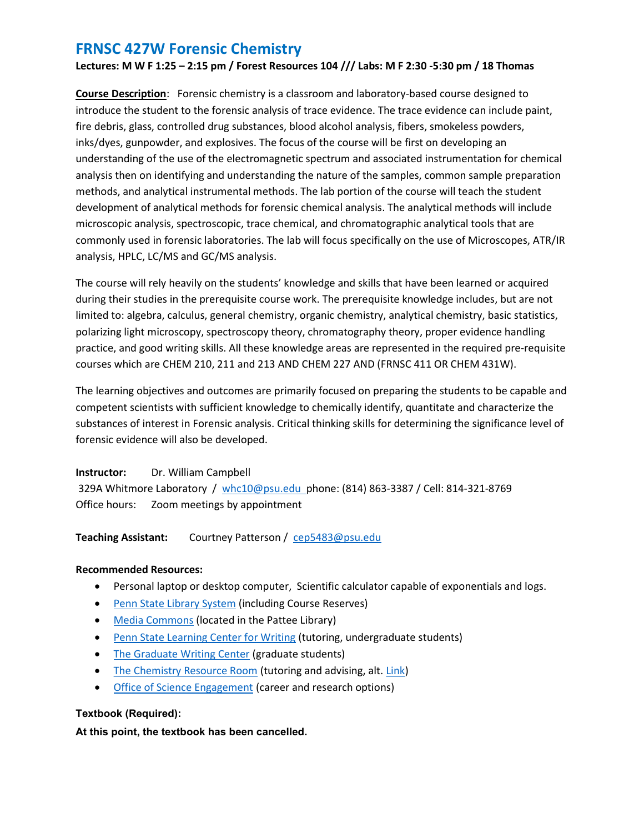Lectures: M W F 1:25 – 2:15 pm / Forest Resources 104 /// Labs: M F 2:30 -5:30 pm / 18 Thomas

Course Description: Forensic chemistry is a classroom and laboratory-based course designed to introduce the student to the forensic analysis of trace evidence. The trace evidence can include paint, fire debris, glass, controlled drug substances, blood alcohol analysis, fibers, smokeless powders, inks/dyes, gunpowder, and explosives. The focus of the course will be first on developing an understanding of the use of the electromagnetic spectrum and associated instrumentation for chemical analysis then on identifying and understanding the nature of the samples, common sample preparation methods, and analytical instrumental methods. The lab portion of the course will teach the student development of analytical methods for forensic chemical analysis. The analytical methods will include microscopic analysis, spectroscopic, trace chemical, and chromatographic analytical tools that are commonly used in forensic laboratories. The lab will focus specifically on the use of Microscopes, ATR/IR analysis, HPLC, LC/MS and GC/MS analysis.

The course will rely heavily on the students' knowledge and skills that have been learned or acquired during their studies in the prerequisite course work. The prerequisite knowledge includes, but are not limited to: algebra, calculus, general chemistry, organic chemistry, analytical chemistry, basic statistics, polarizing light microscopy, spectroscopy theory, chromatography theory, proper evidence handling practice, and good writing skills. All these knowledge areas are represented in the required pre-requisite courses which are CHEM 210, 211 and 213 AND CHEM 227 AND (FRNSC 411 OR CHEM 431W).

The learning objectives and outcomes are primarily focused on preparing the students to be capable and competent scientists with sufficient knowledge to chemically identify, quantitate and characterize the substances of interest in Forensic analysis. Critical thinking skills for determining the significance level of forensic evidence will also be developed.

## Instructor: Dr. William Campbell

 329A Whitmore Laboratory / whc10@psu.edu phone: (814) 863-3387 / Cell: 814-321-8769 Office hours: Zoom meetings by appointment

## Teaching Assistant: Courtney Patterson / cep5483@psu.edu

## Recommended Resources:

- Personal laptop or desktop computer, Scientific calculator capable of exponentials and logs.
- Penn State Library System (including Course Reserves)
- Media Commons (located in the Pattee Library)
- Penn State Learning Center for Writing (tutoring, undergraduate students)
- The Graduate Writing Center (graduate students)
- The Chemistry Resource Room (tutoring and advising, alt. Link)
- Office of Science Engagement (career and research options)

## Textbook (Required):

At this point, the textbook has been cancelled.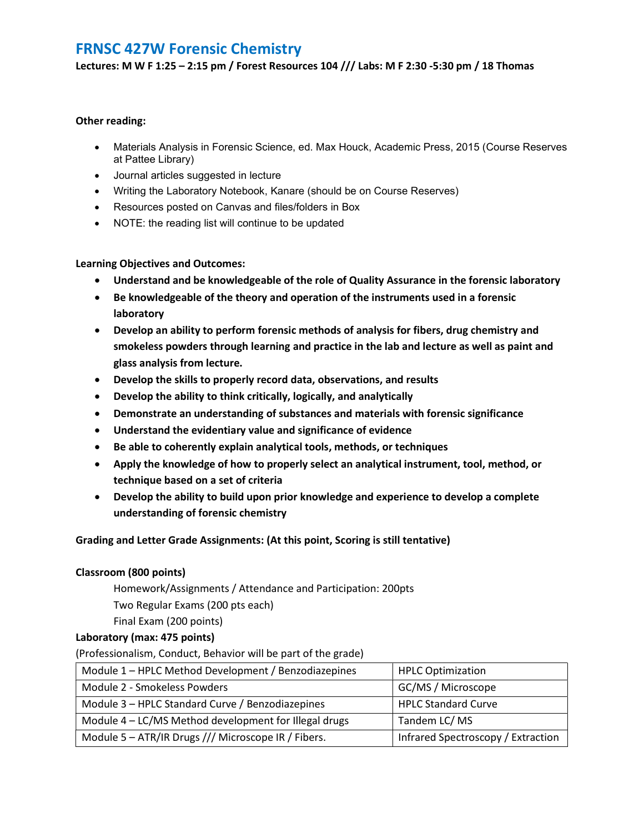Lectures: M W F 1:25 – 2:15 pm / Forest Resources 104 /// Labs: M F 2:30 -5:30 pm / 18 Thomas

### Other reading:

- Materials Analysis in Forensic Science, ed. Max Houck, Academic Press, 2015 (Course Reserves at Pattee Library)
- Journal articles suggested in lecture
- Writing the Laboratory Notebook, Kanare (should be on Course Reserves)
- Resources posted on Canvas and files/folders in Box
- NOTE: the reading list will continue to be updated

#### Learning Objectives and Outcomes:

- Understand and be knowledgeable of the role of Quality Assurance in the forensic laboratory
- Be knowledgeable of the theory and operation of the instruments used in a forensic laboratory
- Develop an ability to perform forensic methods of analysis for fibers, drug chemistry and smokeless powders through learning and practice in the lab and lecture as well as paint and glass analysis from lecture.
- Develop the skills to properly record data, observations, and results
- Develop the ability to think critically, logically, and analytically
- Demonstrate an understanding of substances and materials with forensic significance
- Understand the evidentiary value and significance of evidence
- Be able to coherently explain analytical tools, methods, or techniques
- Apply the knowledge of how to properly select an analytical instrument, tool, method, or technique based on a set of criteria
- Develop the ability to build upon prior knowledge and experience to develop a complete understanding of forensic chemistry

## Grading and Letter Grade Assignments: (At this point, Scoring is still tentative)

## Classroom (800 points)

Homework/Assignments / Attendance and Participation: 200pts

Two Regular Exams (200 pts each)

Final Exam (200 points)

## Laboratory (max: 475 points)

(Professionalism, Conduct, Behavior will be part of the grade)

| Module 1 – HPLC Method Development / Benzodiazepines  | <b>HPLC Optimization</b>           |
|-------------------------------------------------------|------------------------------------|
| Module 2 - Smokeless Powders                          | GC/MS / Microscope                 |
| Module 3 - HPLC Standard Curve / Benzodiazepines      | <b>HPLC Standard Curve</b>         |
| Module 4 - LC/MS Method development for Illegal drugs | Tandem LC/MS                       |
| Module 5 - ATR/IR Drugs /// Microscope IR / Fibers.   | Infrared Spectroscopy / Extraction |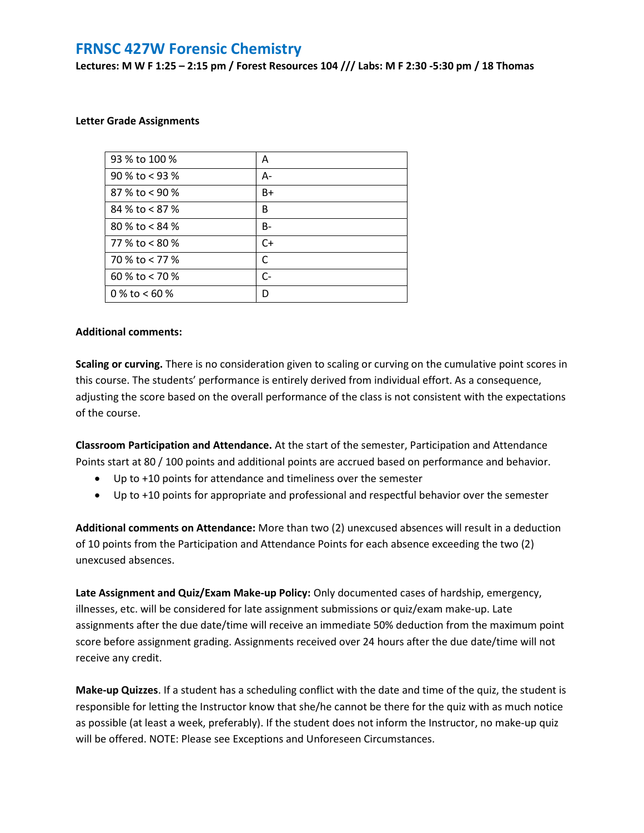Lectures: M W F 1:25 – 2:15 pm / Forest Resources 104 /// Labs: M F 2:30 -5:30 pm / 18 Thomas

#### Letter Grade Assignments

| 93 % to 100 %    | A    |
|------------------|------|
| 90 % to < 93 %   | А-   |
| 87 % to < 90 %   | B+   |
| 84 % to $< 87$ % | B    |
| 80 % to $< 84$ % | B-   |
| 77 % to $< 80$ % | $C+$ |
| 70 % to < 77 %   | C    |
| 60 % to < 70 %   | $C-$ |
| 0 % to < 60 %    | D    |

#### Additional comments:

Scaling or curving. There is no consideration given to scaling or curving on the cumulative point scores in this course. The students' performance is entirely derived from individual effort. As a consequence, adjusting the score based on the overall performance of the class is not consistent with the expectations of the course.

Classroom Participation and Attendance. At the start of the semester, Participation and Attendance Points start at 80 / 100 points and additional points are accrued based on performance and behavior.

- Up to +10 points for attendance and timeliness over the semester
- Up to +10 points for appropriate and professional and respectful behavior over the semester

Additional comments on Attendance: More than two (2) unexcused absences will result in a deduction of 10 points from the Participation and Attendance Points for each absence exceeding the two (2) unexcused absences.

Late Assignment and Quiz/Exam Make-up Policy: Only documented cases of hardship, emergency, illnesses, etc. will be considered for late assignment submissions or quiz/exam make-up. Late assignments after the due date/time will receive an immediate 50% deduction from the maximum point score before assignment grading. Assignments received over 24 hours after the due date/time will not receive any credit.

Make-up Quizzes. If a student has a scheduling conflict with the date and time of the quiz, the student is responsible for letting the Instructor know that she/he cannot be there for the quiz with as much notice as possible (at least a week, preferably). If the student does not inform the Instructor, no make-up quiz will be offered. NOTE: Please see Exceptions and Unforeseen Circumstances.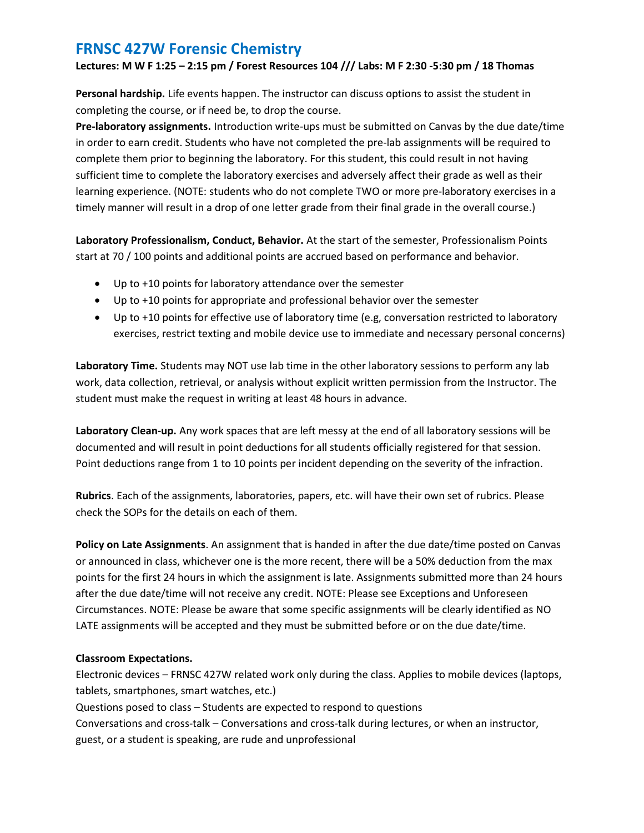Lectures: M W F 1:25 – 2:15 pm / Forest Resources 104 /// Labs: M F 2:30 -5:30 pm / 18 Thomas

Personal hardship. Life events happen. The instructor can discuss options to assist the student in completing the course, or if need be, to drop the course.

Pre-laboratory assignments. Introduction write-ups must be submitted on Canvas by the due date/time in order to earn credit. Students who have not completed the pre-lab assignments will be required to complete them prior to beginning the laboratory. For this student, this could result in not having sufficient time to complete the laboratory exercises and adversely affect their grade as well as their learning experience. (NOTE: students who do not complete TWO or more pre-laboratory exercises in a timely manner will result in a drop of one letter grade from their final grade in the overall course.)

Laboratory Professionalism, Conduct, Behavior. At the start of the semester, Professionalism Points start at 70 / 100 points and additional points are accrued based on performance and behavior.

- Up to +10 points for laboratory attendance over the semester
- Up to +10 points for appropriate and professional behavior over the semester
- Up to +10 points for effective use of laboratory time (e.g, conversation restricted to laboratory exercises, restrict texting and mobile device use to immediate and necessary personal concerns)

Laboratory Time. Students may NOT use lab time in the other laboratory sessions to perform any lab work, data collection, retrieval, or analysis without explicit written permission from the Instructor. The student must make the request in writing at least 48 hours in advance.

Laboratory Clean-up. Any work spaces that are left messy at the end of all laboratory sessions will be documented and will result in point deductions for all students officially registered for that session. Point deductions range from 1 to 10 points per incident depending on the severity of the infraction.

Rubrics. Each of the assignments, laboratories, papers, etc. will have their own set of rubrics. Please check the SOPs for the details on each of them.

Policy on Late Assignments. An assignment that is handed in after the due date/time posted on Canvas or announced in class, whichever one is the more recent, there will be a 50% deduction from the max points for the first 24 hours in which the assignment is late. Assignments submitted more than 24 hours after the due date/time will not receive any credit. NOTE: Please see Exceptions and Unforeseen Circumstances. NOTE: Please be aware that some specific assignments will be clearly identified as NO LATE assignments will be accepted and they must be submitted before or on the due date/time.

## Classroom Expectations.

Electronic devices – FRNSC 427W related work only during the class. Applies to mobile devices (laptops, tablets, smartphones, smart watches, etc.) Questions posed to class – Students are expected to respond to questions Conversations and cross-talk – Conversations and cross-talk during lectures, or when an instructor, guest, or a student is speaking, are rude and unprofessional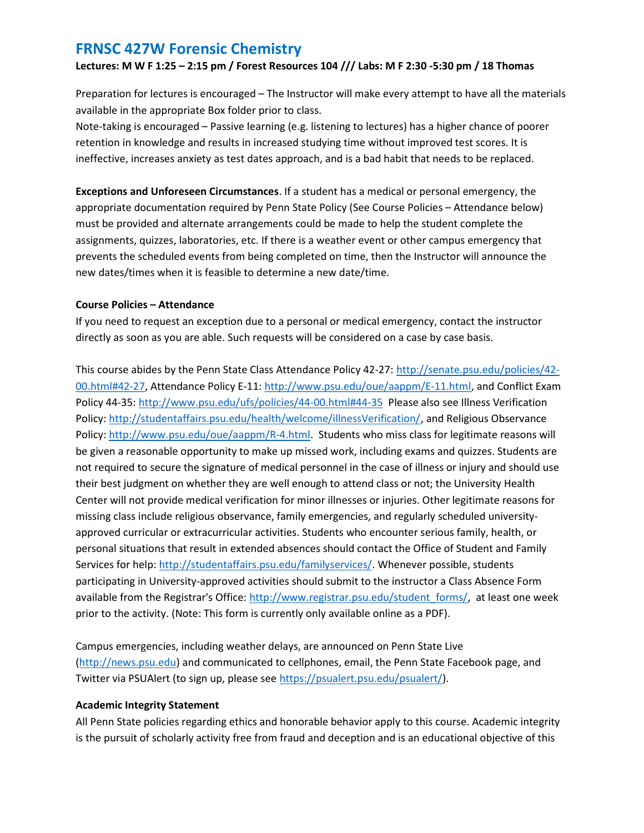Lectures: M W F 1:25 – 2:15 pm / Forest Resources 104 /// Labs: M F 2:30 -5:30 pm / 18 Thomas

Preparation for lectures is encouraged – The Instructor will make every attempt to have all the materials available in the appropriate Box folder prior to class.

Note-taking is encouraged – Passive learning (e.g. listening to lectures) has a higher chance of poorer retention in knowledge and results in increased studying time without improved test scores. It is ineffective, increases anxiety as test dates approach, and is a bad habit that needs to be replaced.

Exceptions and Unforeseen Circumstances. If a student has a medical or personal emergency, the appropriate documentation required by Penn State Policy (See Course Policies – Attendance below) must be provided and alternate arrangements could be made to help the student complete the assignments, quizzes, laboratories, etc. If there is a weather event or other campus emergency that prevents the scheduled events from being completed on time, then the Instructor will announce the new dates/times when it is feasible to determine a new date/time.

## Course Policies – Attendance

If you need to request an exception due to a personal or medical emergency, contact the instructor directly as soon as you are able. Such requests will be considered on a case by case basis.

This course abides by the Penn State Class Attendance Policy 42-27: http://senate.psu.edu/policies/42-00.html#42-27, Attendance Policy E-11: http://www.psu.edu/oue/aappm/E-11.html, and Conflict Exam Policy 44-35: http://www.psu.edu/ufs/policies/44-00.html#44-35 Please also see Illness Verification Policy: http://studentaffairs.psu.edu/health/welcome/illnessVerification/, and Religious Observance Policy: http://www.psu.edu/oue/aappm/R-4.html. Students who miss class for legitimate reasons will be given a reasonable opportunity to make up missed work, including exams and quizzes. Students are not required to secure the signature of medical personnel in the case of illness or injury and should use their best judgment on whether they are well enough to attend class or not; the University Health Center will not provide medical verification for minor illnesses or injuries. Other legitimate reasons for missing class include religious observance, family emergencies, and regularly scheduled universityapproved curricular or extracurricular activities. Students who encounter serious family, health, or personal situations that result in extended absences should contact the Office of Student and Family Services for help: http://studentaffairs.psu.edu/familyservices/. Whenever possible, students participating in University-approved activities should submit to the instructor a Class Absence Form available from the Registrar's Office: http://www.registrar.psu.edu/student\_forms/, at least one week prior to the activity. (Note: This form is currently only available online as a PDF).

Campus emergencies, including weather delays, are announced on Penn State Live (http://news.psu.edu) and communicated to cellphones, email, the Penn State Facebook page, and Twitter via PSUAlert (to sign up, please see https://psualert.psu.edu/psualert/).

## Academic Integrity Statement

All Penn State policies regarding ethics and honorable behavior apply to this course. Academic integrity is the pursuit of scholarly activity free from fraud and deception and is an educational objective of this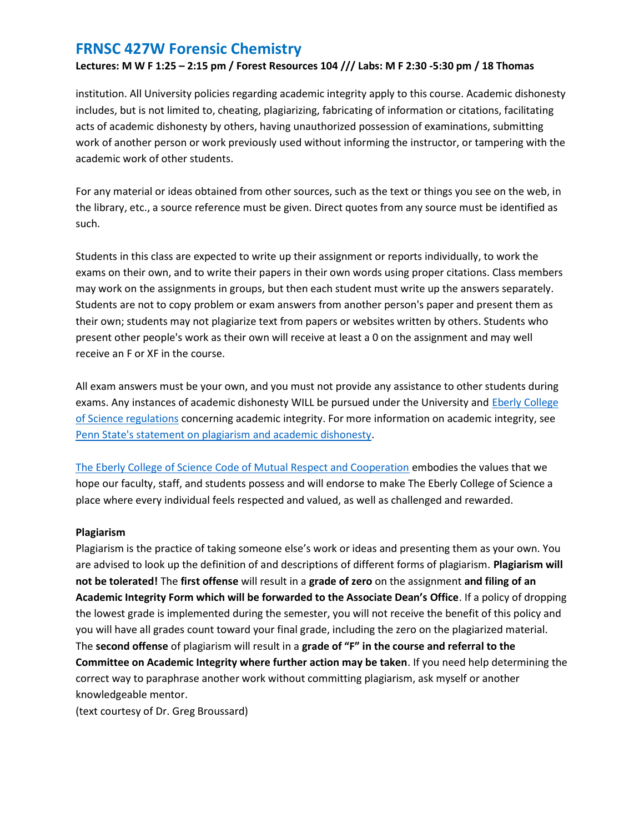## Lectures: M W F 1:25 – 2:15 pm / Forest Resources 104 /// Labs: M F 2:30 -5:30 pm / 18 Thomas

institution. All University policies regarding academic integrity apply to this course. Academic dishonesty includes, but is not limited to, cheating, plagiarizing, fabricating of information or citations, facilitating acts of academic dishonesty by others, having unauthorized possession of examinations, submitting work of another person or work previously used without informing the instructor, or tampering with the academic work of other students.

For any material or ideas obtained from other sources, such as the text or things you see on the web, in the library, etc., a source reference must be given. Direct quotes from any source must be identified as such.

Students in this class are expected to write up their assignment or reports individually, to work the exams on their own, and to write their papers in their own words using proper citations. Class members may work on the assignments in groups, but then each student must write up the answers separately. Students are not to copy problem or exam answers from another person's paper and present them as their own; students may not plagiarize text from papers or websites written by others. Students who present other people's work as their own will receive at least a 0 on the assignment and may well receive an F or XF in the course.

All exam answers must be your own, and you must not provide any assistance to other students during exams. Any instances of academic dishonesty WILL be pursued under the University and Eberly College of Science regulations concerning academic integrity. For more information on academic integrity, see Penn State's statement on plagiarism and academic dishonesty.

The Eberly College of Science Code of Mutual Respect and Cooperation embodies the values that we hope our faculty, staff, and students possess and will endorse to make The Eberly College of Science a place where every individual feels respected and valued, as well as challenged and rewarded.

#### Plagiarism

Plagiarism is the practice of taking someone else's work or ideas and presenting them as your own. You are advised to look up the definition of and descriptions of different forms of plagiarism. Plagiarism will not be tolerated! The first offense will result in a grade of zero on the assignment and filing of an Academic Integrity Form which will be forwarded to the Associate Dean's Office. If a policy of dropping the lowest grade is implemented during the semester, you will not receive the benefit of this policy and you will have all grades count toward your final grade, including the zero on the plagiarized material. The second offense of plagiarism will result in a grade of "F" in the course and referral to the Committee on Academic Integrity where further action may be taken. If you need help determining the correct way to paraphrase another work without committing plagiarism, ask myself or another knowledgeable mentor.

(text courtesy of Dr. Greg Broussard)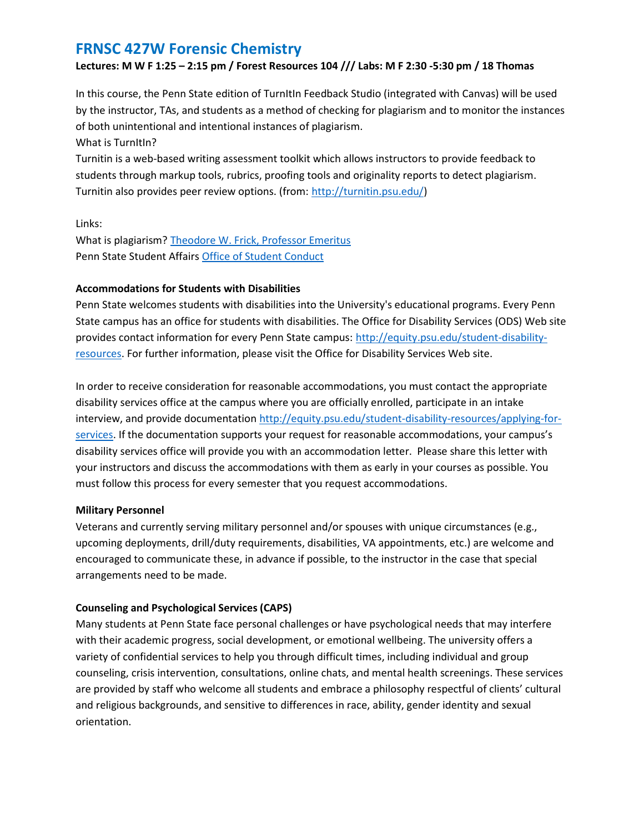## Lectures: M W F 1:25 – 2:15 pm / Forest Resources 104 /// Labs: M F 2:30 -5:30 pm / 18 Thomas

In this course, the Penn State edition of TurnItIn Feedback Studio (integrated with Canvas) will be used by the instructor, TAs, and students as a method of checking for plagiarism and to monitor the instances of both unintentional and intentional instances of plagiarism.

What is TurnItIn?

Turnitin is a web-based writing assessment toolkit which allows instructors to provide feedback to students through markup tools, rubrics, proofing tools and originality reports to detect plagiarism. Turnitin also provides peer review options. (from: http://turnitin.psu.edu/)

Links:

What is plagiarism? Theodore W. Frick, Professor Emeritus Penn State Student Affairs Office of Student Conduct

## Accommodations for Students with Disabilities

Penn State welcomes students with disabilities into the University's educational programs. Every Penn State campus has an office for students with disabilities. The Office for Disability Services (ODS) Web site provides contact information for every Penn State campus: http://equity.psu.edu/student-disabilityresources. For further information, please visit the Office for Disability Services Web site.

In order to receive consideration for reasonable accommodations, you must contact the appropriate disability services office at the campus where you are officially enrolled, participate in an intake interview, and provide documentation http://equity.psu.edu/student-disability-resources/applying-forservices. If the documentation supports your request for reasonable accommodations, your campus's disability services office will provide you with an accommodation letter. Please share this letter with your instructors and discuss the accommodations with them as early in your courses as possible. You must follow this process for every semester that you request accommodations.

## Military Personnel

Veterans and currently serving military personnel and/or spouses with unique circumstances (e.g., upcoming deployments, drill/duty requirements, disabilities, VA appointments, etc.) are welcome and encouraged to communicate these, in advance if possible, to the instructor in the case that special arrangements need to be made.

## Counseling and Psychological Services (CAPS)

Many students at Penn State face personal challenges or have psychological needs that may interfere with their academic progress, social development, or emotional wellbeing. The university offers a variety of confidential services to help you through difficult times, including individual and group counseling, crisis intervention, consultations, online chats, and mental health screenings. These services are provided by staff who welcome all students and embrace a philosophy respectful of clients' cultural and religious backgrounds, and sensitive to differences in race, ability, gender identity and sexual orientation.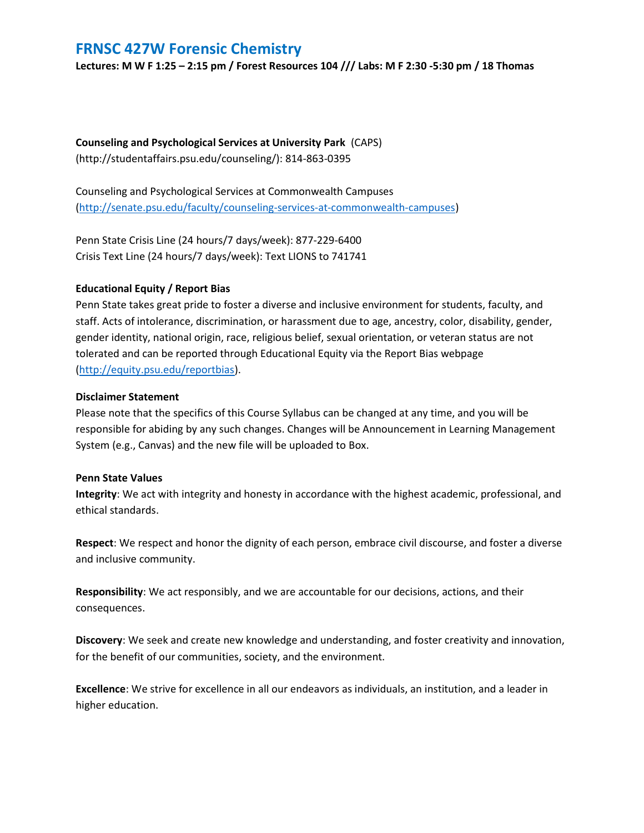Lectures: M W F 1:25 – 2:15 pm / Forest Resources 104 /// Labs: M F 2:30 -5:30 pm / 18 Thomas

Counseling and Psychological Services at University Park (CAPS) (http://studentaffairs.psu.edu/counseling/): 814-863-0395

Counseling and Psychological Services at Commonwealth Campuses (http://senate.psu.edu/faculty/counseling-services-at-commonwealth-campuses)

Penn State Crisis Line (24 hours/7 days/week): 877-229-6400 Crisis Text Line (24 hours/7 days/week): Text LIONS to 741741

## Educational Equity / Report Bias

Penn State takes great pride to foster a diverse and inclusive environment for students, faculty, and staff. Acts of intolerance, discrimination, or harassment due to age, ancestry, color, disability, gender, gender identity, national origin, race, religious belief, sexual orientation, or veteran status are not tolerated and can be reported through Educational Equity via the Report Bias webpage (http://equity.psu.edu/reportbias).

## Disclaimer Statement

Please note that the specifics of this Course Syllabus can be changed at any time, and you will be responsible for abiding by any such changes. Changes will be Announcement in Learning Management System (e.g., Canvas) and the new file will be uploaded to Box.

## Penn State Values

Integrity: We act with integrity and honesty in accordance with the highest academic, professional, and ethical standards.

Respect: We respect and honor the dignity of each person, embrace civil discourse, and foster a diverse and inclusive community.

Responsibility: We act responsibly, and we are accountable for our decisions, actions, and their consequences.

Discovery: We seek and create new knowledge and understanding, and foster creativity and innovation, for the benefit of our communities, society, and the environment.

Excellence: We strive for excellence in all our endeavors as individuals, an institution, and a leader in higher education.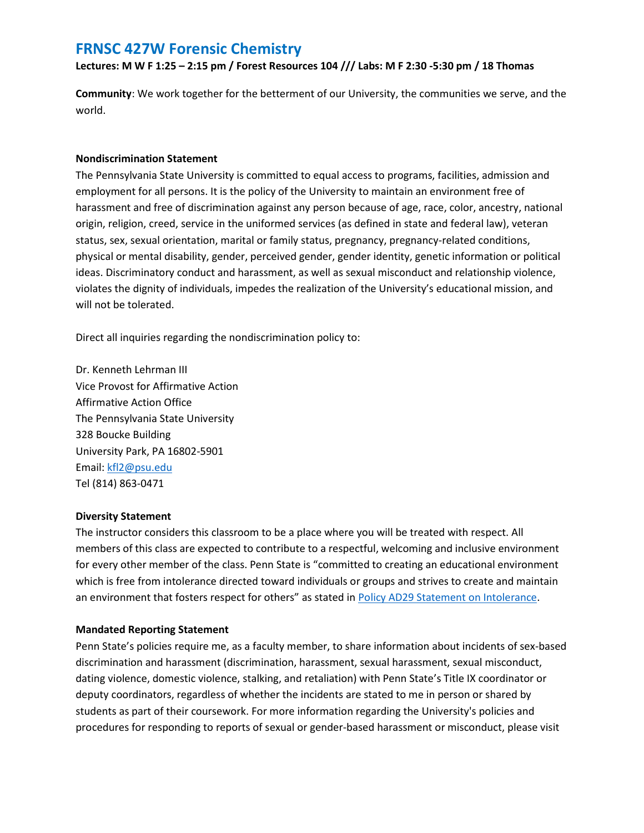Lectures: M W F 1:25 – 2:15 pm / Forest Resources 104 /// Labs: M F 2:30 -5:30 pm / 18 Thomas

Community: We work together for the betterment of our University, the communities we serve, and the world.

#### Nondiscrimination Statement

The Pennsylvania State University is committed to equal access to programs, facilities, admission and employment for all persons. It is the policy of the University to maintain an environment free of harassment and free of discrimination against any person because of age, race, color, ancestry, national origin, religion, creed, service in the uniformed services (as defined in state and federal law), veteran status, sex, sexual orientation, marital or family status, pregnancy, pregnancy-related conditions, physical or mental disability, gender, perceived gender, gender identity, genetic information or political ideas. Discriminatory conduct and harassment, as well as sexual misconduct and relationship violence, violates the dignity of individuals, impedes the realization of the University's educational mission, and will not be tolerated.

Direct all inquiries regarding the nondiscrimination policy to:

Dr. Kenneth Lehrman III Vice Provost for Affirmative Action Affirmative Action Office The Pennsylvania State University 328 Boucke Building University Park, PA 16802-5901 Email: kfl2@psu.edu Tel (814) 863-0471

#### Diversity Statement

The instructor considers this classroom to be a place where you will be treated with respect. All members of this class are expected to contribute to a respectful, welcoming and inclusive environment for every other member of the class. Penn State is "committed to creating an educational environment which is free from intolerance directed toward individuals or groups and strives to create and maintain an environment that fosters respect for others" as stated in Policy AD29 Statement on Intolerance.

## Mandated Reporting Statement

Penn State's policies require me, as a faculty member, to share information about incidents of sex-based discrimination and harassment (discrimination, harassment, sexual harassment, sexual misconduct, dating violence, domestic violence, stalking, and retaliation) with Penn State's Title IX coordinator or deputy coordinators, regardless of whether the incidents are stated to me in person or shared by students as part of their coursework. For more information regarding the University's policies and procedures for responding to reports of sexual or gender-based harassment or misconduct, please visit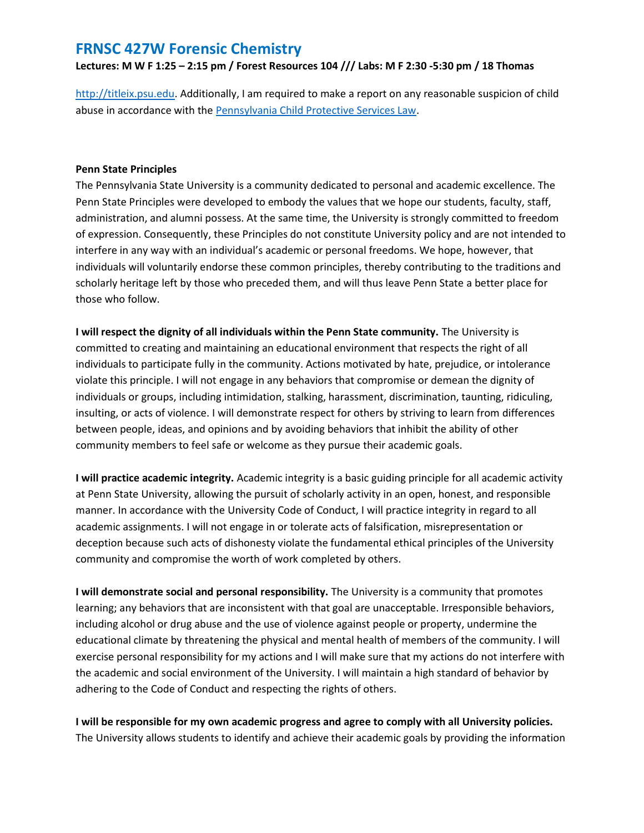Lectures: M W F 1:25 – 2:15 pm / Forest Resources 104 /// Labs: M F 2:30 -5:30 pm / 18 Thomas

http://titleix.psu.edu. Additionally, I am required to make a report on any reasonable suspicion of child abuse in accordance with the Pennsylvania Child Protective Services Law.

#### Penn State Principles

The Pennsylvania State University is a community dedicated to personal and academic excellence. The Penn State Principles were developed to embody the values that we hope our students, faculty, staff, administration, and alumni possess. At the same time, the University is strongly committed to freedom of expression. Consequently, these Principles do not constitute University policy and are not intended to interfere in any way with an individual's academic or personal freedoms. We hope, however, that individuals will voluntarily endorse these common principles, thereby contributing to the traditions and scholarly heritage left by those who preceded them, and will thus leave Penn State a better place for those who follow.

I will respect the dignity of all individuals within the Penn State community. The University is committed to creating and maintaining an educational environment that respects the right of all individuals to participate fully in the community. Actions motivated by hate, prejudice, or intolerance violate this principle. I will not engage in any behaviors that compromise or demean the dignity of individuals or groups, including intimidation, stalking, harassment, discrimination, taunting, ridiculing, insulting, or acts of violence. I will demonstrate respect for others by striving to learn from differences between people, ideas, and opinions and by avoiding behaviors that inhibit the ability of other community members to feel safe or welcome as they pursue their academic goals.

I will practice academic integrity. Academic integrity is a basic guiding principle for all academic activity at Penn State University, allowing the pursuit of scholarly activity in an open, honest, and responsible manner. In accordance with the University Code of Conduct, I will practice integrity in regard to all academic assignments. I will not engage in or tolerate acts of falsification, misrepresentation or deception because such acts of dishonesty violate the fundamental ethical principles of the University community and compromise the worth of work completed by others.

I will demonstrate social and personal responsibility. The University is a community that promotes learning; any behaviors that are inconsistent with that goal are unacceptable. Irresponsible behaviors, including alcohol or drug abuse and the use of violence against people or property, undermine the educational climate by threatening the physical and mental health of members of the community. I will exercise personal responsibility for my actions and I will make sure that my actions do not interfere with the academic and social environment of the University. I will maintain a high standard of behavior by adhering to the Code of Conduct and respecting the rights of others.

I will be responsible for my own academic progress and agree to comply with all University policies. The University allows students to identify and achieve their academic goals by providing the information